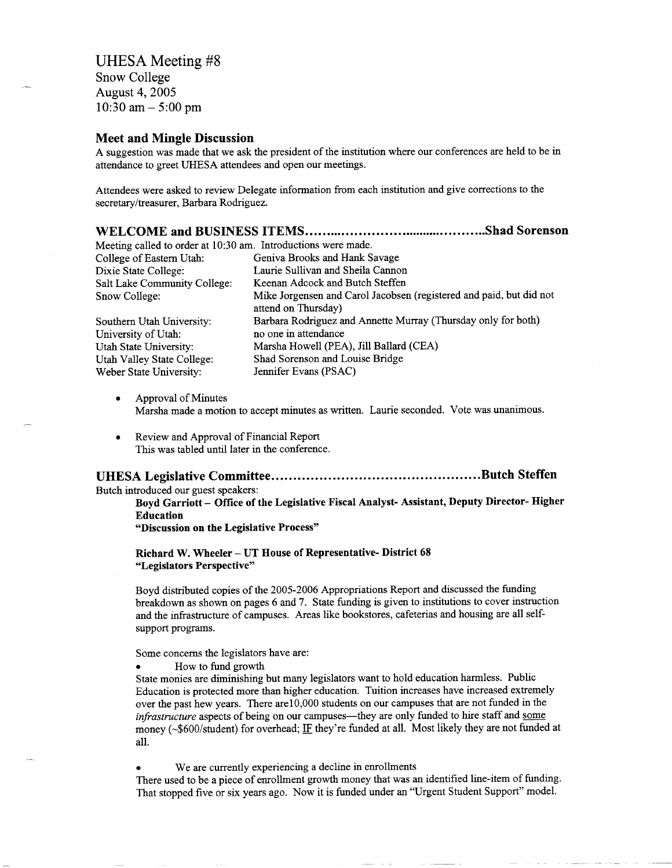## UHESA Meeting #8

Snow College August 4, 2005 10:30 am  $-5:00$  pm

#### **Meet and Mingle Discussion**

A suggestion was made that we ask the president of the institution where our conferences are held to be in attendance to greet UHESA attendees and open our meetings.

Attendees were asked to review Delegate information from each institution and give corrections to the secretary/treasurer, Barbara Rodriguez.

| Meeting called to order at 10:30 am. Introductions were made. |                                                                                            |
|---------------------------------------------------------------|--------------------------------------------------------------------------------------------|
| College of Eastern Utah:                                      | Geniva Brooks and Hank Savage                                                              |
| Dixie State College:                                          | Laurie Sullivan and Sheila Cannon                                                          |
| Salt Lake Community College:                                  | Keenan Adcock and Butch Steffen                                                            |
| Snow College:                                                 | Mike Jorgensen and Carol Jacobsen (registered and paid, but did not<br>attend on Thursday) |
| Southern Utah University:                                     | Barbara Rodriguez and Annette Murray (Thursday only for both)                              |
| University of Utah:                                           | no one in attendance                                                                       |
| Utah State University:                                        | Marsha Howell (PEA), Jill Ballard (CEA)                                                    |
| Utah Valley State College:                                    | Shad Sorenson and Louise Bridge                                                            |
| Weber State University:                                       | Jennifer Evans (PSAC)                                                                      |

- Approval of Minutes Marsha made a motion to accept minutes as written. Laurie seconded. Vote was unanimous.
- Review and Approval of Financial Report This was tabled until later in the conference.

#### **UHESA Legislative Committee Butch Steffen**

Butch introduced our guest speakers:

**Boyd Garriott - Office of the Legislative Fiscal Analyst- Assistant, Deputy Director- Higher Education**

**"Discussion on the Legislative Process"**

#### **Richard W. Wheeler - UT House of Representative- District 68 "Legislators Perspective"**

Boyd distributed copies of the 2005-2006 Appropriations Report and discussed the funding breakdown as shown on pages 6 and 7. State funding is given to institutions to cover instruction and the infrastructure of campuses. Areas like bookstores, cafeterias and housing are all selfsupport programs.

#### Some concerns the legislators have are:

• How to fund growth

State monies are diminishing but many legislators want to hold education harmless. Public Education is protected more than higher education. Tuition increases have increased extremely over the past hew years. There are 10,000 students on our campuses that are not funded in the *infrastructure* aspects of being on our campuses—they are only funded to hire staff and some money (~\$600/student) for overhead; IF they're funded at all. Most likely they are not funded at all.

We are currently experiencing a decline in enrollments

There used to be a piece of enrollment growth money that was an identified line-item of funding. That stopped five or six years ago. Now it is funded under an "Urgent Student Support" model.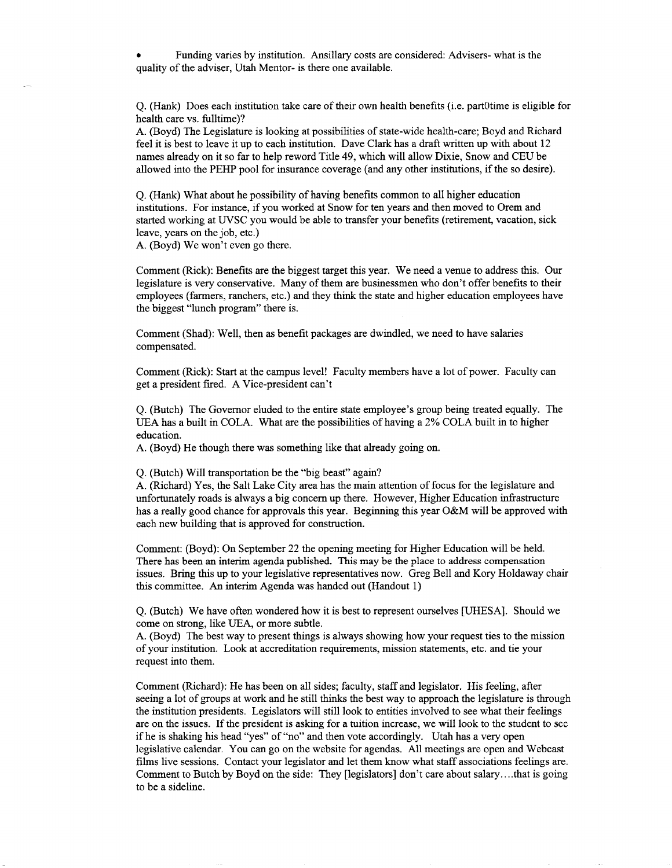• Funding varies by institution. Ansillary costs are considered: Advisers- what is the quality of the adviser, Utah Mentor- is there one available.

Q. (Hank) Does each institution take care of their own health benefits (i.e. partOtime is eligible for health care vs. fulltime)?

A. (Boyd) The Legislature is looking at possibilities of state-wide health-care; Boyd and Richard feel it is best to leave it up to each institution. Dave Clark has a draft written up with about 12 names already on it so far to help reword Title 49, which will allow Dixie, Snow and CEU be allowed into the PEHP pool for insurance coverage (and any other institutions, if the so desire).

Q. (Hank) What about he possibility of having benefits common to all higher education institutions. For instance, if you worked at Snow for ten years and then moved to Orem and started working at UVSC you would be able to transfer your benefits (retirement, vacation, sick leave, years on the job, etc.)

A. (Boyd) We won't even go there.

Comment (Rick): Benefits are the biggest target this year. We need a venue to address this. Our legislature is very conservative. Many of them are businessmen who don't offer benefits to their employees (farmers, ranchers, etc.) and they think the state and higher education employees have the biggest "lunch program" there is.

Comment (Shad): Well, then as benefit packages are dwindled, we need to have salaries compensated.

Comment (Rick): Start at the campus level! Faculty members have a lot of power. Faculty can get a president fired. A Vice-president can't

Q. (Butch) The Governor eluded to the entire state employee's group being treated equally. The UEA has a built in COLA. What are the possibilities of having a 2% COLA built in to higher education.

A. (Boyd) He though there was something like that already going on.

Q. (Butch) Will transportation be the "big beast" again?

A. (Richard) Yes, the Salt Lake City area has the main attention of focus for the legislature and unfortunately roads is always a big concern up there. However, Higher Education infrastructure has a really good chance for approvals this year. Beginning this year O&M will be approved with each new building that is approved for construction.

Comment: (Boyd): On September 22 the opening meeting for Higher Education will be held. There has been an interim agenda published. This may be the place to address compensation issues. Bring this up to your legislative representatives now. Greg Bell and Kory Holdaway chair this committee. An interim Agenda was handed out (Handout 1)

Q. (Butch) We have often wondered how it is best to represent ourselves [UHESA]. Should we come on strong, like UEA, or more subtle.

A. (Boyd) The best way to present things is always showing how your request ties to the mission of your institution. Look at accreditation requirements, mission statements, etc. and tie your request into them.

Comment (Richard): He has been on all sides; faculty, staff and legislator. His feeling, after seeing a lot of groups at work and he still thinks the best way to approach the legislature is through the institution presidents. Legislators will still look to entities involved to see what their feelings are on the issues. If the president is asking for a tuition increase, we will look to the student to see if he is shaking his head "yes" of "no" and then vote accordingly. Utah has a very open legislative calendar. You can go on the website for agendas. All meetings are open and Webcast films live sessions. Contact your legislator and let them know what staff associations feelings are. Comment to Butch by Boyd on the side: They [legislators] don't care about salary... .that is going to be a sideline.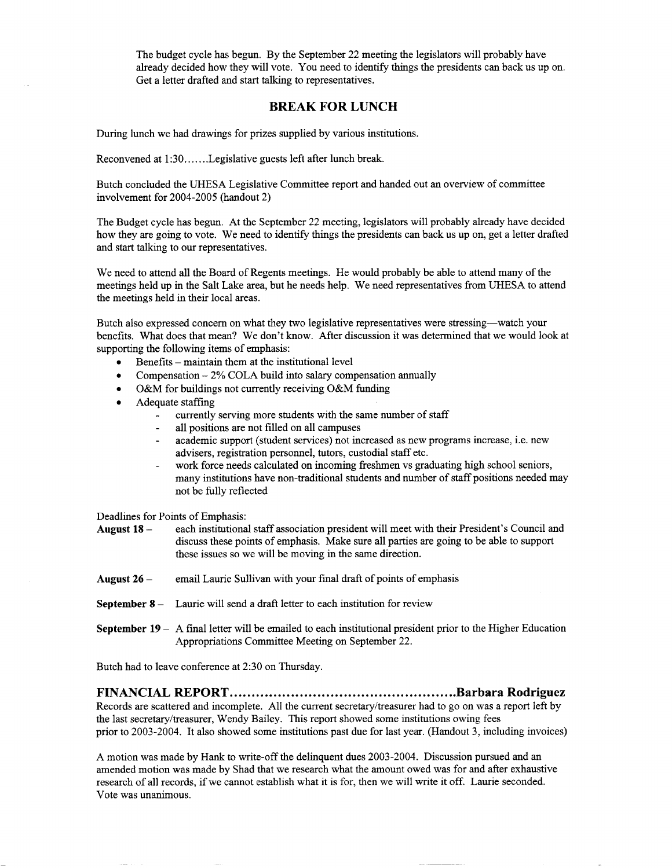The budget cycle has begun. By the September 22 meeting the legislators will probably have already decided how they will vote. You need to identify things the presidents can back us up on. Get a letter drafted and start talking to representatives.

#### **BREAK FOR LUNCH**

During lunch we had drawings for prizes supplied by various institutions.

Reconvened at 1:30......Legislative guests left after lunch break.

Butch concluded the UHES A Legislative Committee report and handed out an overview of committee involvement for 2004-2005 (handout 2)

The Budget cycle has begun. At the September 22 meeting, legislators will probably already have decided how they are going to vote. We need to identify things the presidents can back us up on, get a letter drafted and start talking to our representatives.

We need to attend all the Board of Regents meetings. He would probably be able to attend many of the meetings held up in the Salt Lake area, but he needs help. We need representatives from UHESA to attend the meetings held in their local areas.

Butch also expressed concern on what they two legislative representatives were stressing—watch your benefits. What does that mean? We don't know. After discussion it was determined that we would look at supporting the following items of emphasis:

- $\bullet$  Benefits maintain them at the institutional level
- Compensation  $-2\%$  COLA build into salary compensation annually
- O&M for buildings not currently receiving O&M funding
- Adequate staffing
	- currently serving more students with the same number of staff
	- all positions are not filled on all campuses
	- academic support (student services) not increased as new programs increase, i.e. new advisers, registration personnel, tutors, custodial staff etc.
	- work force needs calculated on incoming freshmen vs graduating high school seniors, many institutions have non-traditional students and number of staff positions needed may not be fully reflected

Deadlines for Points of Emphasis:

**August 18** - each institutional staff association president will meet with their President's Council and discuss these points of emphasis. Make sure all parties are going to be able to support these issues so we will be moving in the same direction.

- **August 26** email Laurie Sullivan with your final draft of points of emphasis
- **September 8** Laurie will send a draft letter to each institution for review
- **September 19 A** final letter will be emailed to each institutional president prior to the Higher Education Appropriations Committee Meeting on September 22.

Butch had to leave conference at 2:30 on Thursday.

**FINANCIAL REPORT Barbara Rodriguez**

Records are scattered and incomplete. All the current secretary/treasurer had to go on was a report left by the last secretary/treasurer, Wendy Bailey. This report showed some institutions owing fees prior to 2003-2004. It also showed some institutions past due for last year. (Handout 3, including invoices)

A motion was made by Hank to write-off the delinquent dues 2003-2004. Discussion pursued and an amended motion was made by Shad that we research what the amount owed was for and after exhaustive research of all records, if we cannot establish what it is for, then we will write it off. Laurie seconded. Vote was unanimous.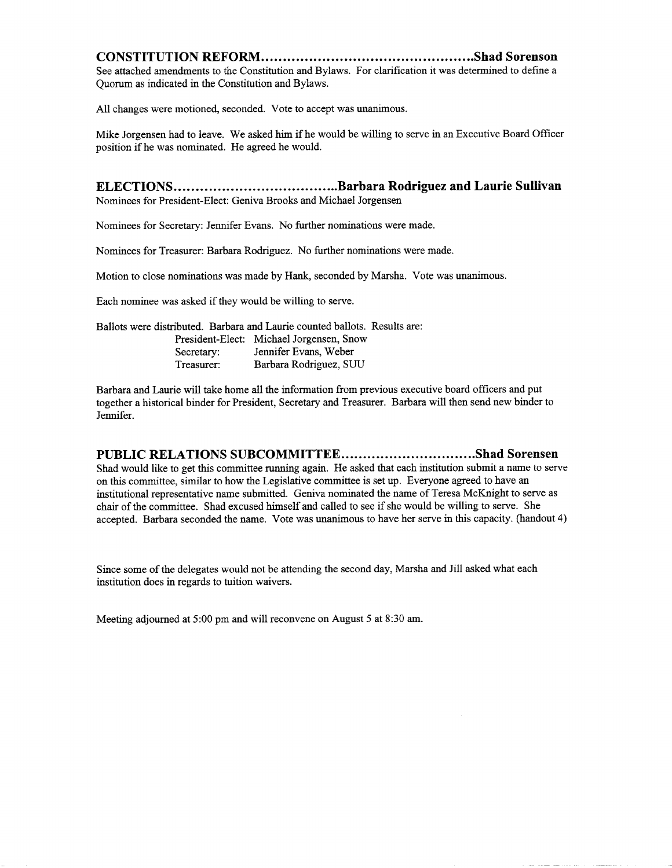#### **CONSTITUTION REFORM Shad Sorenson**

See attached amendments to the Constitution and Bylaws. For clarification it was determined to define a Quorum as indicated in the Constitution and Bylaws.

All changes were motioned, seconded. Vote to accept was unanimous.

Mike Jorgensen had to leave. We asked him if he would be willing to serve in an Executive Board Officer position if he was nominated. He agreed he would.

#### **ELECTIONS Barbara Rodriguez and Laurie Sullivan** Nominees for President-Elect: Geniva Brooks and Michael Jorgensen

Nominees for Secretary: Jennifer Evans. No further nominations were made.

Nominees for Treasurer: Barbara Rodriguez. No further nominations were made.

Motion to close nominations was made by Hank, seconded by Marsha. Vote was unanimous.

Each nominee was asked if they would be willing to serve.

Ballots were distributed. Barbara and Laurie counted ballots. Results are: President-Elect: Michael Jorgensen, Snow Secretary: Jennifer Evans, Weber Treasurer: Barbara Rodriguez, SUU

Barbara and Laurie will take home all the information from previous executive board officers and put together a historical binder for President, Secretary and Treasurer. Barbara will then send new binder to Jennifer.

#### PUBLIC RELATIONS SUBCOMMITTEE................................Shad Sorensen

Shad would like to get this committee running again. He asked that each institution submit a name to serve on this committee, similar to how the Legislative committee is set up. Everyone agreed to have an institutional representative name submitted. Geniva nominated the name of Teresa McKnight to serve as chair of the committee. Shad excused himself and called to see if she would be willing to serve. She accepted. Barbara seconded the name. Vote was unanimous to have her serve in this capacity, (handout 4)

Since some of the delegates would not be attending the second day, Marsha and Jill asked what each institution does in regards to tuition waivers.

Meeting adjourned at 5:00 pm and will reconvene on August 5 at 8:30 am.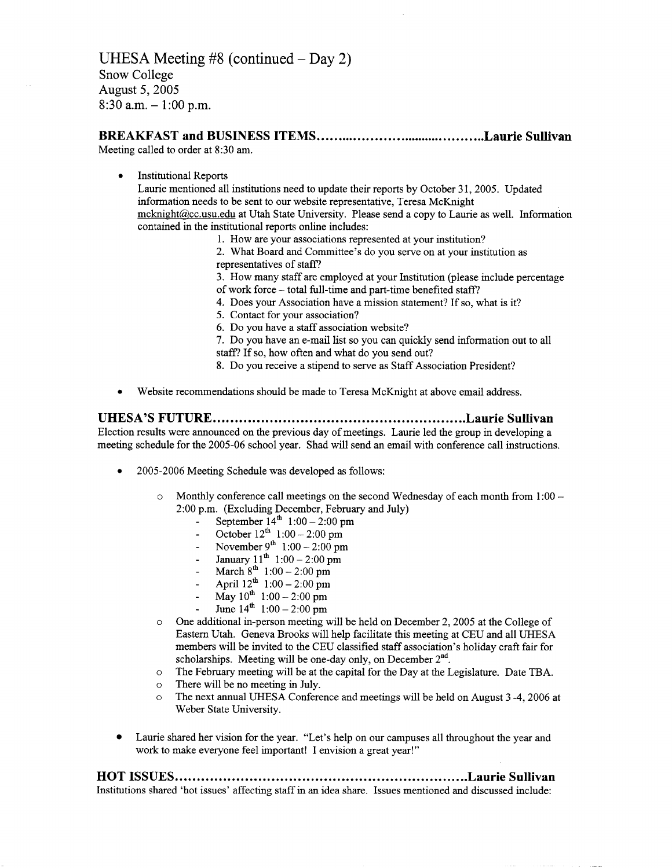### **BREAKFAST and BUSINESS ITEMS Laurie Sullivan**

Meeting called to order at 8:30 am.

• Institutional Reports

Laurie mentioned all institutions need to update their reports by October 31, 2005. Updated information needs to be sent to our website representative, Teresa McKnight mcknight@cc.usu.edu at Utah State University. Please send a copy to Laurie as well. Information contained in the institutional reports online includes:

- 1. How are your associations represented at your institution?
- 2. What Board and Committee's do you serve on at your institution as representatives of staff?
- 3. How many staff are employed at your Institution (please include percentage
- of work force total full-time and part-time benefited staff?
- 4. Does your Association have a mission statement? If so, what is it?
- 5. Contact for your association?
- 6. Do you have a staff association website?

7. Do you have an e-mail list so you can quickly send information out to all staff? If so, how often and what do you send out?

- 8. Do you receive a stipend to serve as Staff Association President?
- Website recommendations should be made to Teresa McKnight at above email address.

#### **UHESA'S FUTURE Laurie Sullivan** Election results were announced on the previous day of meetings. Laurie led the group in developing a

meeting schedule for the 2005-06 school year. Shad will send an email with conference call instructions.

- 2005-2006 Meeting Schedule was developed as follows:
	- $\circ$  Monthly conference call meetings on the second Wednesday of each month from 1:00 2:00 p.m. (Excluding December, February and July)
		- September  $14^{\text{th}}$  1:00 2:00 pm
		- October  $12^{th}$  1:00 2:00 pm
		- November 9<sup>th</sup> 1:00 2:00 pm
		- January  $11^{\text{th}}$  1:00 2:00 pm
		- $-$  March  $8^{th}$  1:00 2:00 pm
		- April  $12^{th}$  1:00 2:00 pm
		- May  $10^{th}$  1:00 2:00 pm
		- June  $14^{\text{th}}$  1:00 2:00 pm
	- o One additional in-person meeting will be held on December 2, 2005 at the College of Eastern Utah. Geneva Brooks will help facilitate this meeting at CEU and all UHESA members will be invited to the CEU classified staff association's holiday craft fair for scholarships. Meeting will be one-day only, on December  $2<sup>nd</sup>$ .
	- o The February meeting will be at the capital for the Day at the Legislature. Date TBA.
	- o There will be no meeting in July.
	- o The next annual UHESA Conference and meetings will be held on August 3 -4, 2006 at Weber State University.
- Laurie shared her vision for the year. "Let's help on our campuses all throughout the year and work to make everyone feel important! I envision a great year!"

# **HOT ISSUES Laurie Sullivan**

Institutions shared 'hot issues' affecting staff in an idea share. Issues mentioned and discussed include: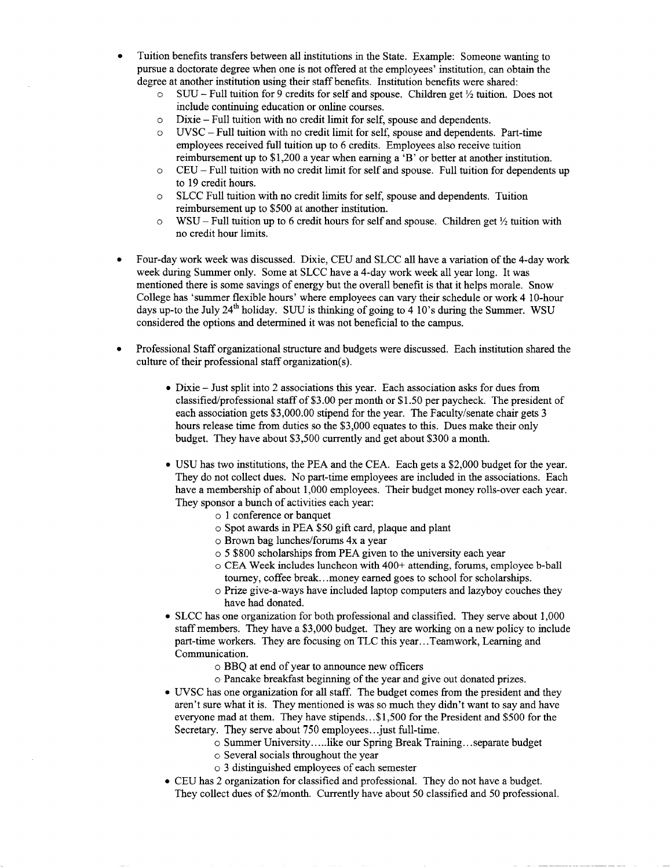- Tuition benefits transfers between all institutions in the State. Example: Someone wanting to pursue a doctorate degree when one is not offered at the employees' institution, can obtain the degree at another institution using their staff benefits. Institution benefits were shared:
	- $\circ$  SUU Full tuition for 9 credits for self and spouse. Children get  $\frac{1}{2}$  tuition. Does not include continuing education or online courses.
	- o Dixie Full tuition with no credit limit for self, spouse and dependents.
	- o UVSC Full tuition with no credit limit for self, spouse and dependents. Part-time employees received full tuition up to 6 credits. Employees also receive tuition reimbursement up to \$1,200 a year when earning a 'B' or better at another institution.
	- $\circ$  CEU Full tuition with no credit limit for self and spouse. Full tuition for dependents up to 19 credit hours.
	- o SLCC Full tuition with no credit limits for self, spouse and dependents. Tuition reimbursement up to \$500 at another institution.
	- $\circ$  WSU Full tuition up to 6 credit hours for self and spouse. Children get  $\frac{1}{2}$  tuition with no credit hour limits.
- Four-day work week was discussed. Dixie, CEU and SLCC all have a variation of the 4-day work week during Summer only. Some at SLCC have a 4-day work week all year long. It was mentioned there is some savings of energy but the overall benefit is that it helps morale. Snow College has 'summer flexible hours' where employees can vary their schedule or work 4 10-hour days up-to the July 24<sup>th</sup> holiday. SUU is thinking of going to 4 10's during the Summer. WSU considered the options and determined it was not beneficial to the campus.
- Professional Staff organizational structure and budgets were discussed. Each institution shared the culture of their professional staff organization(s).
	- Dixie Just split into 2 associations this year. Each association asks for dues from classified/professional staff of \$3.00 per month or \$ 1.50 per paycheck. The president of each association gets \$3,000.00 stipend for the year. The Faculty/senate chair gets 3 hours release time from duties so the \$3,000 equates to this. Dues make their only budget. They have about \$3,500 currently and get about \$300 a month.
	- USU has two institutions, the PEA and the CEA. Each gets a \$2,000 budget for the year. They do not collect dues. No part-time employees are included in the associations. Each have a membership of about 1,000 employees. Their budget money rolls-over each year. They sponsor a bunch of activities each year:
		- o 1 conference or banquet
		- o Spot awards in PEA \$50 gift card, plaque and plant
		- o Brown bag lunches/forums 4x a year
		- o 5 \$800 scholarships from PEA given to the university each year
		- o CEA Week includes luncheon with 400+ attending, forums, employee b-ball tourney, coffee break.. .money earned goes to school for scholarships.
		- o Prize give-a-ways have included laptop computers and lazyboy couches they have had donated.
	- SLCC has one organization for both professional and classified. They serve about 1,000 staff members. They have a \$3,000 budget. They are working on a new policy to include part-time workers. They are focusing on TLC this year.. .Teamwork, Learning and Communication.
		- o BBQ at end of year to announce new officers
		- o Pancake breakfast beginning of the year and give out donated prizes.
	- UVSC has one organization for all staff. The budget comes from the president and they aren't sure what it is. They mentioned is was so much they didn't want to say and have everyone mad at them. They have stipends...\$1,500 for the President and \$500 for the Secretary. They serve about 750 employees...just full-time.
		- o Summer University.....like our Spring Break Training... separate budget
		- o Several socials throughout the year
		- o 3 distinguished employees of each semester
	- CEU has 2 organization for classified and professional. They do not have a budget. They collect dues of \$2/month. Currently have about 50 classified and 50 professional.